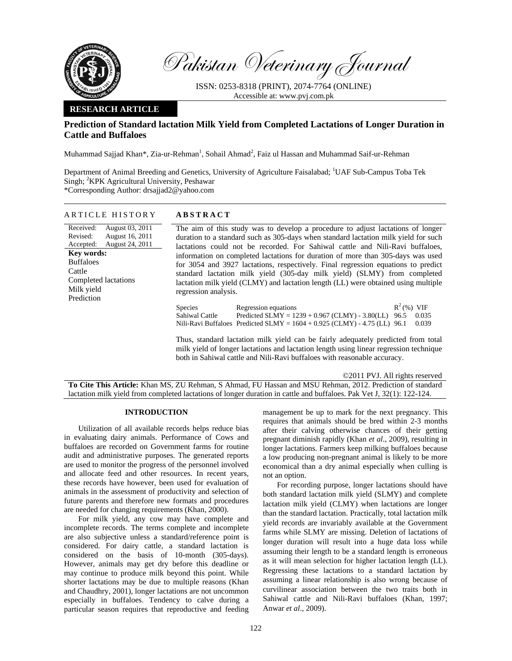

Pakistan Veterinary Journal

ISSN: 0253-8318 (PRINT), 2074-7764 (ONLINE) Accessible at: www.pvj.com.pk

## **RESEARCH ARTICLE**

# **Prediction of Standard lactation Milk Yield from Completed Lactations of Longer Duration in Cattle and Buffaloes**

Muhammad Sajjad Khan\*, Zia-ur-Rehman<sup>1</sup>, Sohail Ahmad<sup>2</sup>, Faiz ul Hassan and Muhammad Saif-ur-Rehman

Department of Animal Breeding and Genetics, University of Agriculture Faisalabad; <sup>1</sup>UAF Sub-Campus Toba Tek Singh; <sup>2</sup>KPK Agricultural University, Peshawar \*Corresponding Author: drsajjad2@yahoo.com

### ARTICLE HISTORY **ABSTRACT**

Received: Revised: Accepted: August 03, 2011 August 16, 2011 August 24, 2011 **Key words:**  Buffaloes Cattle Completed lactations Milk yield Prediction

The aim of this study was to develop a procedure to adjust lactations of longer duration to a standard such as 305-days when standard lactation milk yield for such lactations could not be recorded. For Sahiwal cattle and Nili-Ravi buffaloes, information on completed lactations for duration of more than 305-days was used for 3054 and 3927 lactations, respectively. Final regression equations to predict standard lactation milk yield (305-day milk yield) (SLMY) from completed lactation milk yield (CLMY) and lactation length (LL) were obtained using multiple regression analysis.

| <b>Species</b> | Regression equations                                                        | $R^2$ (%) VIF |       |
|----------------|-----------------------------------------------------------------------------|---------------|-------|
| Sahiwal Cattle | Predicted SLMY = $1239 + 0.967$ (CLMY) - 3.80(LL) 96.5                      |               | 0.035 |
|                | Nili-Ravi Buffaloes Predicted SLMY = $1604 + 0.925$ (CLMY) - 4.75 (LL) 96.1 |               | 0.039 |

Thus, standard lactation milk yield can be fairly adequately predicted from total milk yield of longer lactations and lactation length using linear regression technique both in Sahiwal cattle and Nili-Ravi buffaloes with reasonable accuracy.

©2011 PVJ. All rights reserved **To Cite This Article:** Khan MS, ZU Rehman, S Ahmad, FU Hassan and MSU Rehman, 2012. Prediction of standard lactation milk yield from completed lactations of longer duration in cattle and buffaloes. Pak Vet J, 32(1): 122-124.

## **INTRODUCTION**

Utilization of all available records helps reduce bias in evaluating dairy animals. Performance of Cows and buffaloes are recorded on Government farms for routine audit and administrative purposes. The generated reports are used to monitor the progress of the personnel involved and allocate feed and other resources. In recent years, these records have however, been used for evaluation of animals in the assessment of productivity and selection of future parents and therefore new formats and procedures are needed for changing requirements (Khan, 2000).

For milk yield, any cow may have complete and incomplete records. The terms complete and incomplete are also subjective unless a standard/reference point is considered. For dairy cattle, a standard lactation is considered on the basis of 10-month (305-days). However, animals may get dry before this deadline or may continue to produce milk beyond this point. While shorter lactations may be due to multiple reasons (Khan and Chaudhry, 2001), longer lactations are not uncommon especially in buffaloes. Tendency to calve during a particular season requires that reproductive and feeding management be up to mark for the next pregnancy. This requires that animals should be bred within 2-3 months after their calving otherwise chances of their getting pregnant diminish rapidly (Khan *et al*., 2009), resulting in longer lactations. Farmers keep milking buffaloes because a low producing non-pregnant animal is likely to be more economical than a dry animal especially when culling is not an option.

For recording purpose, longer lactations should have both standard lactation milk yield (SLMY) and complete lactation milk yield (CLMY) when lactations are longer than the standard lactation. Practically, total lactation milk yield records are invariably available at the Government farms while SLMY are missing. Deletion of lactations of longer duration will result into a huge data loss while assuming their length to be a standard length is erroneous as it will mean selection for higher lactation length (LL). Regressing these lactations to a standard lactation by assuming a linear relationship is also wrong because of curvilinear association between the two traits both in Sahiwal cattle and Nili-Ravi buffaloes (Khan, 1997; Anwar *et al*., 2009).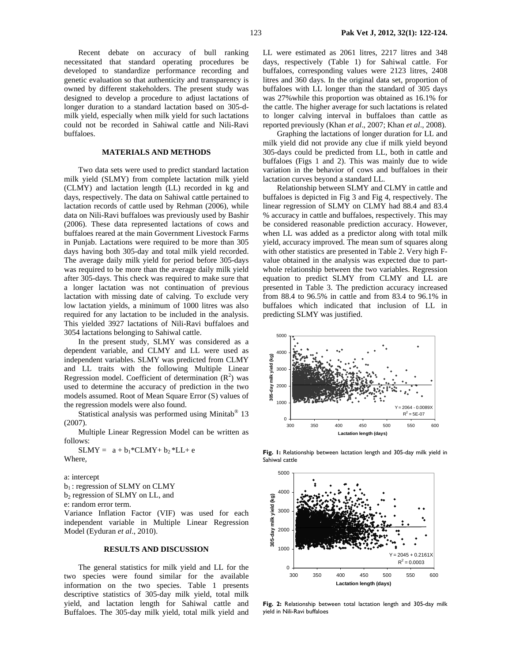Recent debate on accuracy of bull ranking necessitated that standard operating procedures be developed to standardize performance recording and genetic evaluation so that authenticity and transparency is owned by different stakeholders. The present study was designed to develop a procedure to adjust lactations of longer duration to a standard lactation based on 305-dmilk yield, especially when milk yield for such lactations could not be recorded in Sahiwal cattle and Nili-Ravi buffaloes.

### **MATERIALS AND METHODS**

Two data sets were used to predict standard lactation milk yield (SLMY) from complete lactation milk yield (CLMY) and lactation length (LL) recorded in kg and days, respectively. The data on Sahiwal cattle pertained to lactation records of cattle used by Rehman (2006), while data on Nili-Ravi buffaloes was previously used by Bashir (2006). These data represented lactations of cows and buffaloes reared at the main Government Livestock Farms in Punjab. Lactations were required to be more than 305 days having both 305-day and total milk yield recorded. The average daily milk yield for period before 305-days was required to be more than the average daily milk yield after 305-days. This check was required to make sure that a longer lactation was not continuation of previous lactation with missing date of calving. To exclude very low lactation yields, a minimum of 1000 litres was also required for any lactation to be included in the analysis. This yielded 3927 lactations of Nili-Ravi buffaloes and 3054 lactations belonging to Sahiwal cattle.

In the present study, SLMY was considered as a dependent variable, and CLMY and LL were used as independent variables. SLMY was predicted from CLMY and LL traits with the following Multiple Linear Regression model. Coefficient of determination  $(R^2)$  was used to determine the accuracy of prediction in the two models assumed. Root of Mean Square Error (S) values of the regression models were also found.

Statistical analysis was performed using Minitab® 13 (2007).

Multiple Linear Regression Model can be written as follows:

 $SLMY = a + b_1*CLMY + b_2 * LL + e$ Where,

a: intercept b<sub>1</sub>: regression of SLMY on CLMY

b<sub>2</sub> regression of SLMY on LL, and

e: random error term.

Variance Inflation Factor (VIF) was used for each independent variable in Multiple Linear Regression Model (Eyduran *et al*., 2010).

#### **RESULTS AND DISCUSSION**

The general statistics for milk yield and LL for the two species were found similar for the available information on the two species. Table 1 presents descriptive statistics of 305-day milk yield, total milk yield, and lactation length for Sahiwal cattle and Buffaloes. The 305-day milk yield, total milk yield and LL were estimated as 2061 litres, 2217 litres and 348 days, respectively (Table 1) for Sahiwal cattle. For buffaloes, corresponding values were 2123 litres, 2408 litres and 360 days. In the original data set, proportion of buffaloes with LL longer than the standard of 305 days was 27%while this proportion was obtained as 16.1% for the cattle. The higher average for such lactations is related to longer calving interval in buffaloes than cattle as reported previously (Khan *et al*., 2007; Khan *et al*., 2008).

Graphing the lactations of longer duration for LL and milk yield did not provide any clue if milk yield beyond 305-days could be predicted from LL, both in cattle and buffaloes (Figs 1 and 2). This was mainly due to wide variation in the behavior of cows and buffaloes in their lactation curves beyond a standard LL.

Relationship between SLMY and CLMY in cattle and buffaloes is depicted in Fig 3 and Fig 4, respectively. The linear regression of SLMY on CLMY had 88.4 and 83.4 % accuracy in cattle and buffaloes, respectively. This may be considered reasonable prediction accuracy. However, when LL was added as a predictor along with total milk yield, accuracy improved. The mean sum of squares along with other statistics are presented in Table 2. Very high Fvalue obtained in the analysis was expected due to partwhole relationship between the two variables. Regression equation to predict SLMY from CLMY and LL are presented in Table 3. The prediction accuracy increased from 88.4 to 96.5% in cattle and from 83.4 to 96.1% in buffaloes which indicated that inclusion of LL in predicting SLMY was justified.



**Fig. 1:** Relationship between lactation length and 305-day milk yield in Sahiwal cattle



**Fig. 2:** Relationship between total lactation length and 305-day milk yield in Nili-Ravi buffaloes